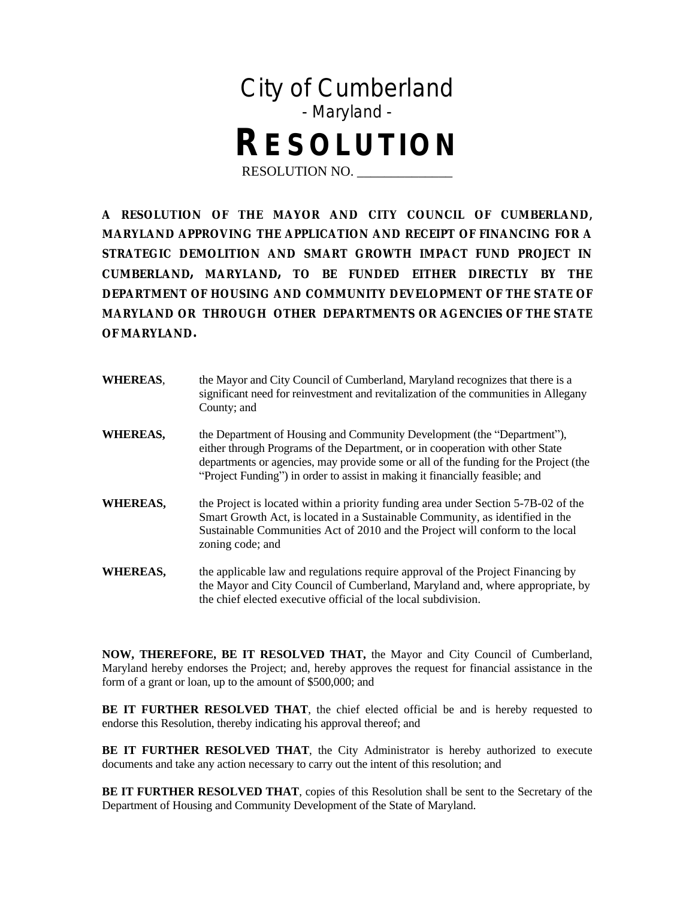

**A RESOLUTION OF THE MAYOR AND CITY COUNCIL OF CUMBERLAND, MARYLAND APPROVING THE APPLICATION AND RECEIPT OF FINANCING FOR A STRATEGIC DEMOLITION AND SMART GROWTH IMPACT FUND PROJECT IN CUMBERLAND, MARYLAND, TO BE FUNDED EITHER DIRECTLY BY THE DEPARTMENT OF HOUSING AND COMMUNITY DEVELOPMENT OF THE STATE OF MARYLAND OR THROUGH OTHER DEPARTMENTS OR AGENCIES OF THE STATE OF MARYLAND.**

| <b>WHEREAS,</b> | the Mayor and City Council of Cumberland, Maryland recognizes that there is a<br>significant need for reinvestment and revitalization of the communities in Allegany<br>County; and                                                                                                                                             |
|-----------------|---------------------------------------------------------------------------------------------------------------------------------------------------------------------------------------------------------------------------------------------------------------------------------------------------------------------------------|
| <b>WHEREAS,</b> | the Department of Housing and Community Development (the "Department"),<br>either through Programs of the Department, or in cooperation with other State<br>departments or agencies, may provide some or all of the funding for the Project (the<br>"Project Funding" in order to assist in making it financially feasible; and |
| WHEREAS,        | the Project is located within a priority funding area under Section 5-7B-02 of the<br>Smart Growth Act, is located in a Sustainable Community, as identified in the<br>Sustainable Communities Act of 2010 and the Project will conform to the local<br>zoning code; and                                                        |
| WHEREAS,        | the applicable law and regulations require approval of the Project Financing by<br>the Mayor and City Council of Cumberland, Maryland and, where appropriate, by<br>the chief elected executive official of the local subdivision.                                                                                              |

**NOW, THEREFORE, BE IT RESOLVED THAT,** the Mayor and City Council of Cumberland, Maryland hereby endorses the Project; and, hereby approves the request for financial assistance in the form of a grant or loan, up to the amount of \$500,000; and

**BE IT FURTHER RESOLVED THAT**, the chief elected official be and is hereby requested to endorse this Resolution, thereby indicating his approval thereof; and

**BE IT FURTHER RESOLVED THAT**, the City Administrator is hereby authorized to execute documents and take any action necessary to carry out the intent of this resolution; and

**BE IT FURTHER RESOLVED THAT**, copies of this Resolution shall be sent to the Secretary of the Department of Housing and Community Development of the State of Maryland.